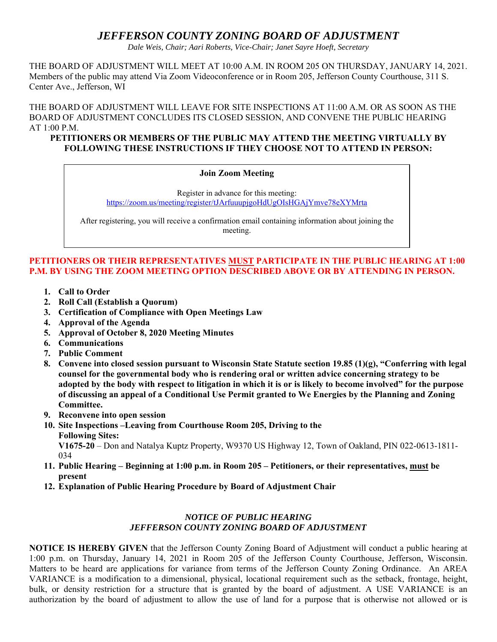# *JEFFERSON COUNTY ZONING BOARD OF ADJUSTMENT*

*Dale Weis, Chair; Aari Roberts, Vice-Chair; Janet Sayre Hoeft, Secretary* 

THE BOARD OF ADJUSTMENT WILL MEET AT 10:00 A.M. IN ROOM 205 ON THURSDAY, JANUARY 14, 2021. Members of the public may attend Via Zoom Videoconference or in Room 205, Jefferson County Courthouse, 311 S. Center Ave., Jefferson, WI

THE BOARD OF ADJUSTMENT WILL LEAVE FOR SITE INSPECTIONS AT 11:00 A.M. OR AS SOON AS THE BOARD OF ADJUSTMENT CONCLUDES ITS CLOSED SESSION, AND CONVENE THE PUBLIC HEARING AT 1:00 P.M.

#### **PETITIONERS OR MEMBERS OF THE PUBLIC MAY ATTEND THE MEETING VIRTUALLY BY FOLLOWING THESE INSTRUCTIONS IF THEY CHOOSE NOT TO ATTEND IN PERSON:**

#### **Join Zoom Meeting**

Register in advance for this meeting: https://zoom.us/meeting/register/tJArfuuupjgoHdUgOIsHGAjYmve78eXYMrta

After registering, you will receive a confirmation email containing information about joining the meeting.

## **PETITIONERS OR THEIR REPRESENTATIVES MUST PARTICIPATE IN THE PUBLIC HEARING AT 1:00 P.M. BY USING THE ZOOM MEETING OPTION DESCRIBED ABOVE OR BY ATTENDING IN PERSON.**

- **1. Call to Order**
- **2. Roll Call (Establish a Quorum)**
- **3. Certification of Compliance with Open Meetings Law**
- **4. Approval of the Agenda**
- **5. Approval of October 8, 2020 Meeting Minutes**
- **6. Communications**
- **7. Public Comment**
- **8. Convene into closed session pursuant to Wisconsin State Statute section 19.85 (1)(g), "Conferring with legal counsel for the governmental body who is rendering oral or written advice concerning strategy to be adopted by the body with respect to litigation in which it is or is likely to become involved" for the purpose of discussing an appeal of a Conditional Use Permit granted to We Energies by the Planning and Zoning Committee.**
- **9. Reconvene into open session**
- **10. Site Inspections –Leaving from Courthouse Room 205, Driving to the Following Sites: V1675-20** – Don and Natalya Kuptz Property, W9370 US Highway 12, Town of Oakland, PIN 022-0613-1811- 034
- **11. Public Hearing Beginning at 1:00 p.m. in Room 205 Petitioners, or their representatives, must be present**
- **12. Explanation of Public Hearing Procedure by Board of Adjustment Chair**

### *NOTICE OF PUBLIC HEARING JEFFERSON COUNTY ZONING BOARD OF ADJUSTMENT*

**NOTICE IS HEREBY GIVEN** that the Jefferson County Zoning Board of Adjustment will conduct a public hearing at 1:00 p.m. on Thursday, January 14, 2021 in Room 205 of the Jefferson County Courthouse, Jefferson, Wisconsin. Matters to be heard are applications for variance from terms of the Jefferson County Zoning Ordinance. An AREA VARIANCE is a modification to a dimensional, physical, locational requirement such as the setback, frontage, height, bulk, or density restriction for a structure that is granted by the board of adjustment. A USE VARIANCE is an authorization by the board of adjustment to allow the use of land for a purpose that is otherwise not allowed or is